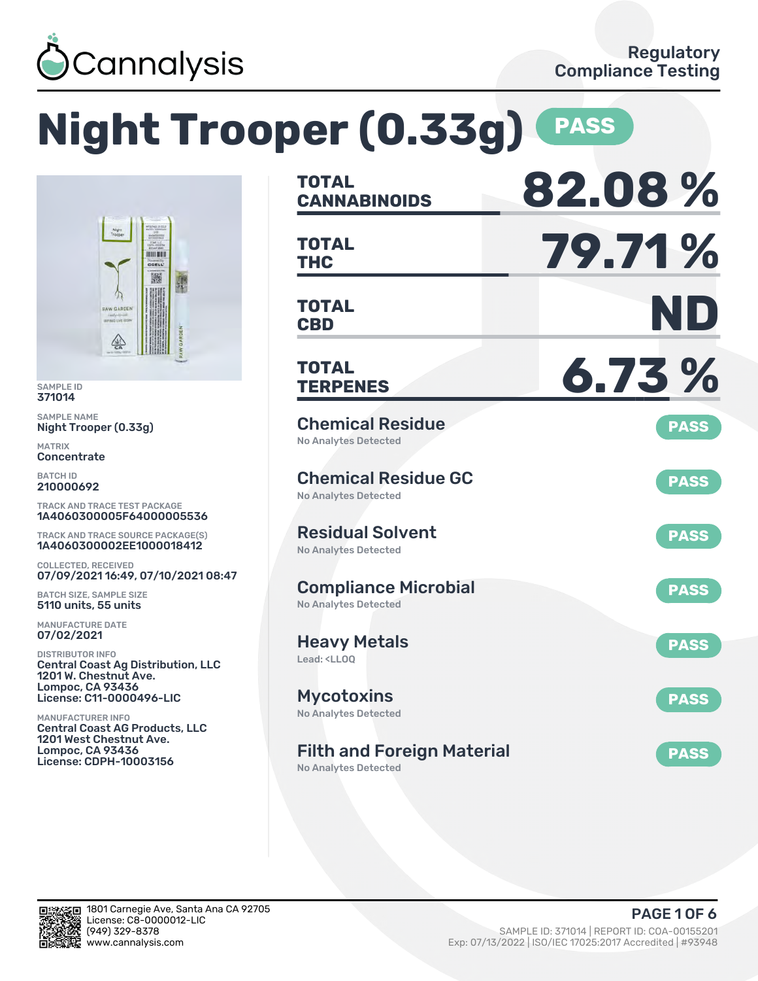

**HOULKEE** CELI 撇

### **Night Trooper (0.33g) PASS TOTAL CANNABINOIDS 82.08 % TOTAL THC 79.71 % TOTAL CBD ND TOTAL TERPENES 6.73 %** Chemical Residue No Analytes Detected **PASS** Chemical Residue GC No Analytes Detected **PASS** Residual Solvent No Analytes Detected **PASS** Compliance Microbial No Analytes Detected **PASS** Heavy Metals Lead: <LLOQ **PASS** Mycotoxins No Analytes Detected **PASS** Filth and Foreign Material **PASS** TRACK AND TRACE TEST PACKAGE 1A4060300005F64000005536 TRACK AND TRACE SOURCE PACKAGE(S) 1A4060300002EE1000018412 07/09/2021 16:49, 07/10/2021 08:47 Central Coast Ag Distribution, LLC License: C11-0000496-LIC Central Coast AG Products, LLC License: CDPH-10003156

No Analytes Detected



SAMPLE ID 371014 SAMPLE NAME

MATRIX **Concentrate** BATCH ID 210000692

Night Trooper (0.33g)

 $\frac{\sqrt{2}}{50}$ 

COLLECTED, RECEIVED

BATCH SIZE, SAMPLE SIZE 5110 units, 55 units MANUFACTURE DATE 07/02/2021 DISTRIBUTOR INFO

1201 W. Chestnut Ave. Lompoc, CA 93436

1201 West Chestnut Ave. Lompoc, CA 93436

MANUFACTURER INFO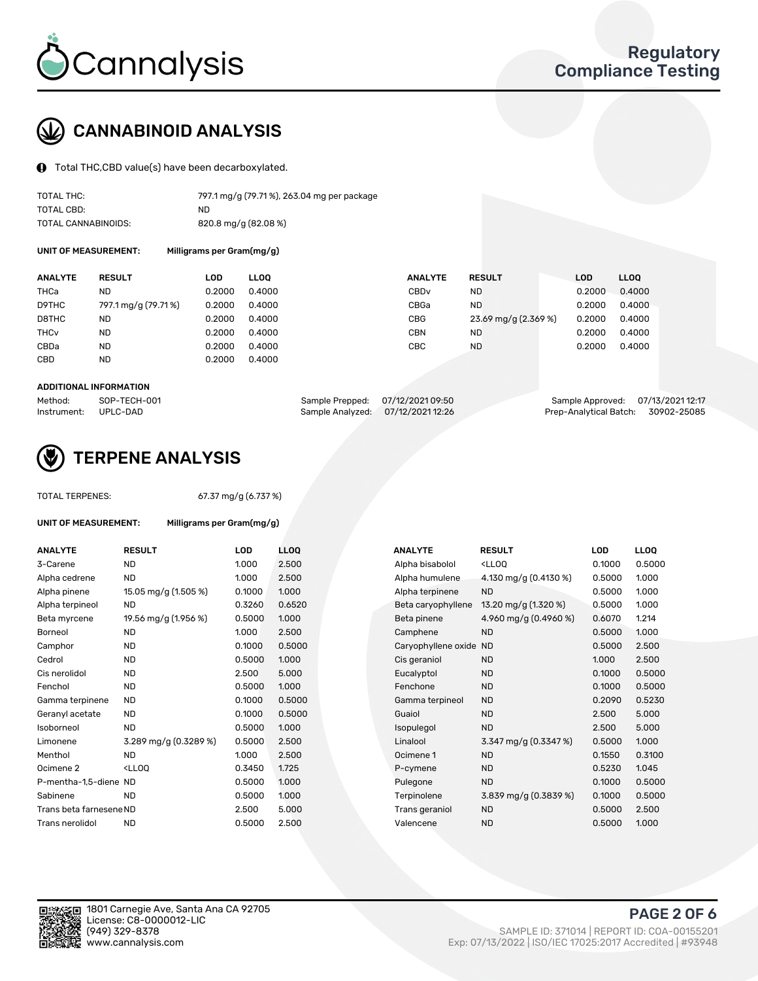

# CANNABINOID ANALYSIS

Total THC,CBD value(s) have been decarboxylated.

| TOTAL THC:          | 797.1 mg/g (79.71%), 263.04 mg per package |
|---------------------|--------------------------------------------|
| TOTAL CBD:          | ND.                                        |
| TOTAL CANNABINOIDS: | $820.8$ mg/g $(82.08\%)$                   |

UNIT OF MEASUREMENT: Milligrams per Gram(mg/g)

| <b>ANALYTE</b>         | <b>RESULT</b>        | LOD    | <b>LLOO</b> | <b>ANALYTE</b>   | <b>RESULT</b>        | LOD    | LL <sub>00</sub> |
|------------------------|----------------------|--------|-------------|------------------|----------------------|--------|------------------|
| THCa                   | ND                   | 0.2000 | 0.4000      | CBD <sub>v</sub> | ND                   | 0.2000 | 0.4000           |
| D9THC                  | 797.1 mg/g (79.71 %) | 0.2000 | 0.4000      | CBGa             | <b>ND</b>            | 0.2000 | 0.4000           |
| D8THC                  | ND                   | 0.2000 | 0.4000      | CBG              | 23.69 mg/g (2.369 %) | 0.2000 | 0.4000           |
| <b>THC<sub>v</sub></b> | ND                   | 0.2000 | 0.4000      | CBN              | <b>ND</b>            | 0.2000 | 0.4000           |
| CBDa                   | ND                   | 0.2000 | 0.4000      | CBC              | <b>ND</b>            | 0.2000 | 0.4000           |
| CBD                    | <b>ND</b>            | 0.2000 | 0.4000      |                  |                      |        |                  |
|                        |                      |        |             |                  |                      |        |                  |

#### ADDITIONAL INFORMATION

| Method:              | SOP-TECH-001 | Sample Prepped: 07/12/2021 09:50  | Sample Approved: 07/13/2021 12:17  |  |
|----------------------|--------------|-----------------------------------|------------------------------------|--|
| Instrument: UPLC-DAD |              | Sample Analyzed: 07/12/2021 12:26 | Prep-Analytical Batch: 30902-25085 |  |



# TERPENE ANALYSIS

UNIT OF MEASUREMENT: Milligrams per Gram(mg/g)

|  | <b>TOTAL TERPENES:</b> |
|--|------------------------|
|--|------------------------|

67.37 mg/g (6.737 %)

| <b>ANALYTE</b>          | <b>RESULT</b>                                                                                                      | <b>LOD</b> | <b>LLOQ</b> | <b>ANALYTE</b>         | <b>RESULT</b>                                       | <b>LOD</b> | <b>LLOQ</b> |
|-------------------------|--------------------------------------------------------------------------------------------------------------------|------------|-------------|------------------------|-----------------------------------------------------|------------|-------------|
| 3-Carene                | <b>ND</b>                                                                                                          | 1.000      | 2.500       | Alpha bisabolol        | <ll0q< td=""><td>0.1000</td><td>0.5000</td></ll0q<> | 0.1000     | 0.5000      |
| Alpha cedrene           | <b>ND</b>                                                                                                          | 1.000      | 2.500       | Alpha humulene         | 4.130 mg/g $(0.4130\%)$                             | 0.5000     | 1.000       |
| Alpha pinene            | 15.05 mg/g (1.505 %)                                                                                               | 0.1000     | 1.000       | Alpha terpinene        | <b>ND</b>                                           | 0.5000     | 1.000       |
| Alpha terpineol         | <b>ND</b>                                                                                                          | 0.3260     | 0.6520      | Beta caryophyllene     | 13.20 mg/g (1.320 %)                                | 0.5000     | 1.000       |
| Beta myrcene            | 19.56 mg/g (1.956 %)                                                                                               | 0.5000     | 1.000       | Beta pinene            | 4.960 mg/g (0.4960 %)                               | 0.6070     | 1.214       |
| Borneol                 | <b>ND</b>                                                                                                          | 1.000      | 2.500       | Camphene               | <b>ND</b>                                           | 0.5000     | 1.000       |
| Camphor                 | <b>ND</b>                                                                                                          | 0.1000     | 0.5000      | Caryophyllene oxide ND |                                                     | 0.5000     | 2.500       |
| Cedrol                  | <b>ND</b>                                                                                                          | 0.5000     | 1.000       | Cis geraniol           | <b>ND</b>                                           | 1.000      | 2.500       |
| Cis nerolidol           | <b>ND</b>                                                                                                          | 2.500      | 5.000       | Eucalyptol             | <b>ND</b>                                           | 0.1000     | 0.5000      |
| Fenchol                 | <b>ND</b>                                                                                                          | 0.5000     | 1.000       | Fenchone               | <b>ND</b>                                           | 0.1000     | 0.5000      |
| Gamma terpinene         | <b>ND</b>                                                                                                          | 0.1000     | 0.5000      | Gamma terpineol        | <b>ND</b>                                           | 0.2090     | 0.5230      |
| Geranyl acetate         | <b>ND</b>                                                                                                          | 0.1000     | 0.5000      | Guaiol                 | <b>ND</b>                                           | 2.500      | 5.000       |
| Isoborneol              | <b>ND</b>                                                                                                          | 0.5000     | 1.000       | Isopulegol             | <b>ND</b>                                           | 2.500      | 5.000       |
| Limonene                | 3.289 mg/g (0.3289 %)                                                                                              | 0.5000     | 2.500       | Linalool               | 3.347 mg/g (0.3347 %)                               | 0.5000     | 1.000       |
| Menthol                 | <b>ND</b>                                                                                                          | 1.000      | 2.500       | Ocimene 1              | <b>ND</b>                                           | 0.1550     | 0.3100      |
| Ocimene <sub>2</sub>    | <lloq< td=""><td>0.3450</td><td>1.725</td><td>P-cymene</td><td><b>ND</b></td><td>0.5230</td><td>1.045</td></lloq<> | 0.3450     | 1.725       | P-cymene               | <b>ND</b>                                           | 0.5230     | 1.045       |
| P-mentha-1.5-diene ND   |                                                                                                                    | 0.5000     | 1.000       | Pulegone               | <b>ND</b>                                           | 0.1000     | 0.5000      |
| Sabinene                | <b>ND</b>                                                                                                          | 0.5000     | 1.000       | Terpinolene            | 3.839 mg/g (0.3839 %)                               | 0.1000     | 0.5000      |
| Trans beta farnesene ND |                                                                                                                    | 2.500      | 5.000       | Trans geraniol         | <b>ND</b>                                           | 0.5000     | 2.500       |
| Trans nerolidol         | <b>ND</b>                                                                                                          | 0.5000     | 2.500       | Valencene              | <b>ND</b>                                           | 0.5000     | 1.000       |
|                         |                                                                                                                    |            |             |                        |                                                     |            |             |

| <b>NALYTE</b>         | <b>RESULT</b>                                       | LOD    | <b>LLOQ</b> |
|-----------------------|-----------------------------------------------------|--------|-------------|
| Ipha bisabolol        | <lloq< td=""><td>0.1000</td><td>0.5000</td></lloq<> | 0.1000 | 0.5000      |
| <b>Ipha humulene</b>  | 4.130 mg/g (0.4130 %)                               | 0.5000 | 1.000       |
| <b>Ipha terpinene</b> | <b>ND</b>                                           | 0.5000 | 1.000       |
| eta caryophyllene     | 13.20 mg/g (1.320 %)                                | 0.5000 | 1.000       |
| eta pinene            | 4.960 mg/g (0.4960 %)                               | 0.6070 | 1.214       |
| amphene:              | <b>ND</b>                                           | 0.5000 | 1.000       |
| aryophyllene oxide    | <b>ND</b>                                           | 0.5000 | 2.500       |
| is geraniol           | <b>ND</b>                                           | 1.000  | 2.500       |
| ucalyptol             | <b>ND</b>                                           | 0.1000 | 0.5000      |
| enchone               | <b>ND</b>                                           | 0.1000 | 0.5000      |
| amma terpineol        | <b>ND</b>                                           | 0.2090 | 0.5230      |
| auaiol                | <b>ND</b>                                           | 2.500  | 5.000       |
| sopulegol             | <b>ND</b>                                           | 2.500  | 5.000       |
| inalool               | 3.347 mg/g $(0.3347%)$                              | 0.5000 | 1.000       |
| cimene 1              | <b>ND</b>                                           | 0.1550 | 0.3100      |
| '-cymene              | <b>ND</b>                                           | 0.5230 | 1.045       |
| ulegone               | <b>ND</b>                                           | 0.1000 | 0.5000      |
| erpinolene            | 3.839 mg/g (0.3839 %)                               | 0.1000 | 0.5000      |
| rans geraniol         | <b>ND</b>                                           | 0.5000 | 2.500       |
| alencene              | <b>ND</b>                                           | 0.5000 | 1.000       |
|                       |                                                     |        |             |

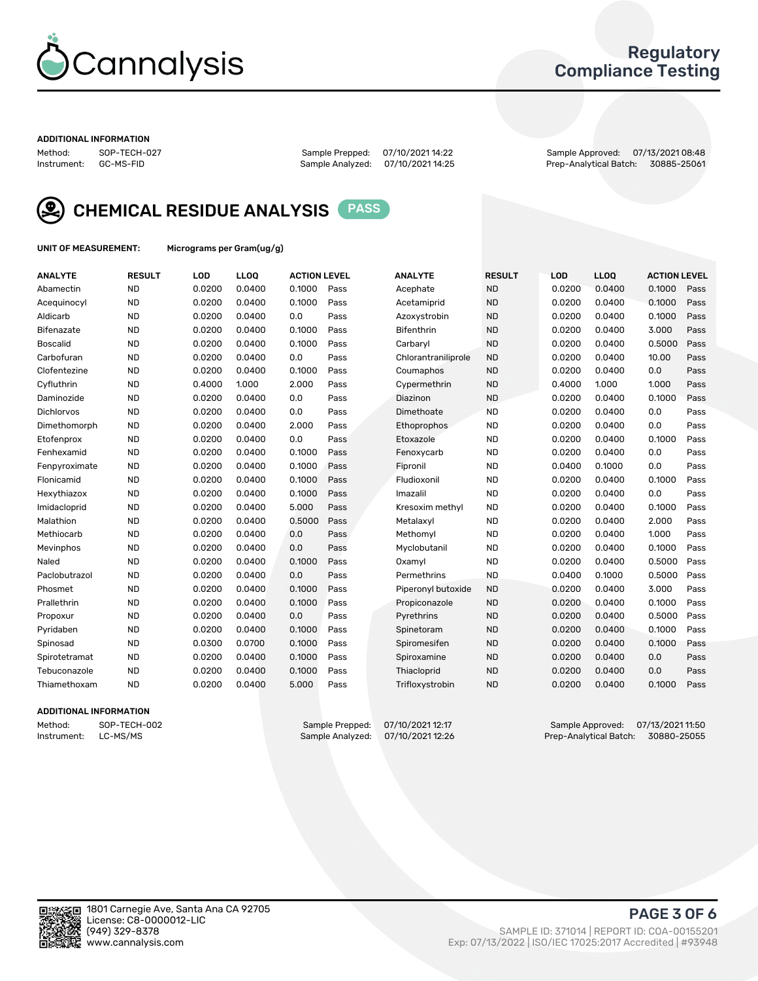

### Regulatory Compliance Testing

#### ADDITIONAL INFORMATION

Method: SOP-TECH-027 Sample Prepped: 07/10/2021 14:22 Sample Approved: 07/13/2021 08:48 Prep-Analytical Batch: 30885-25061



CHEMICAL RESIDUE ANALYSIS PASS

UNIT OF MEASUREMENT: Micrograms per Gram(ug/g)

| <b>ANALYTE</b>    | <b>RESULT</b> | LOD    | LL <sub>OO</sub> | <b>ACTION LEVEL</b> |      | <b>ANALYTE</b>      | <b>RESULT</b> | <b>LOD</b> | LL <sub>OO</sub> | <b>ACTION LEVEL</b> |      |
|-------------------|---------------|--------|------------------|---------------------|------|---------------------|---------------|------------|------------------|---------------------|------|
| Abamectin         | <b>ND</b>     | 0.0200 | 0.0400           | 0.1000              | Pass | Acephate            | <b>ND</b>     | 0.0200     | 0.0400           | 0.1000              | Pass |
| Acequinocyl       | <b>ND</b>     | 0.0200 | 0.0400           | 0.1000              | Pass | Acetamiprid         | <b>ND</b>     | 0.0200     | 0.0400           | 0.1000              | Pass |
| Aldicarb          | <b>ND</b>     | 0.0200 | 0.0400           | 0.0                 | Pass | Azoxystrobin        | <b>ND</b>     | 0.0200     | 0.0400           | 0.1000              | Pass |
| Bifenazate        | <b>ND</b>     | 0.0200 | 0.0400           | 0.1000              | Pass | <b>Bifenthrin</b>   | <b>ND</b>     | 0.0200     | 0.0400           | 3.000               | Pass |
| <b>Boscalid</b>   | <b>ND</b>     | 0.0200 | 0.0400           | 0.1000              | Pass | Carbaryl            | <b>ND</b>     | 0.0200     | 0.0400           | 0.5000              | Pass |
| Carbofuran        | <b>ND</b>     | 0.0200 | 0.0400           | 0.0                 | Pass | Chlorantraniliprole | <b>ND</b>     | 0.0200     | 0.0400           | 10.00               | Pass |
| Clofentezine      | <b>ND</b>     | 0.0200 | 0.0400           | 0.1000              | Pass | Coumaphos           | <b>ND</b>     | 0.0200     | 0.0400           | 0.0                 | Pass |
| Cyfluthrin        | <b>ND</b>     | 0.4000 | 1.000            | 2.000               | Pass | Cypermethrin        | <b>ND</b>     | 0.4000     | 1.000            | 1.000               | Pass |
| Daminozide        | <b>ND</b>     | 0.0200 | 0.0400           | 0.0                 | Pass | Diazinon            | <b>ND</b>     | 0.0200     | 0.0400           | 0.1000              | Pass |
| <b>Dichlorvos</b> | <b>ND</b>     | 0.0200 | 0.0400           | 0.0                 | Pass | Dimethoate          | <b>ND</b>     | 0.0200     | 0.0400           | 0.0                 | Pass |
| Dimethomorph      | <b>ND</b>     | 0.0200 | 0.0400           | 2.000               | Pass | Ethoprophos         | <b>ND</b>     | 0.0200     | 0.0400           | 0.0                 | Pass |
| Etofenprox        | <b>ND</b>     | 0.0200 | 0.0400           | 0.0                 | Pass | Etoxazole           | <b>ND</b>     | 0.0200     | 0.0400           | 0.1000              | Pass |
| Fenhexamid        | <b>ND</b>     | 0.0200 | 0.0400           | 0.1000              | Pass | Fenoxycarb          | <b>ND</b>     | 0.0200     | 0.0400           | 0.0                 | Pass |
| Fenpyroximate     | <b>ND</b>     | 0.0200 | 0.0400           | 0.1000              | Pass | Fipronil            | <b>ND</b>     | 0.0400     | 0.1000           | 0.0                 | Pass |
| Flonicamid        | <b>ND</b>     | 0.0200 | 0.0400           | 0.1000              | Pass | Fludioxonil         | <b>ND</b>     | 0.0200     | 0.0400           | 0.1000              | Pass |
| Hexythiazox       | <b>ND</b>     | 0.0200 | 0.0400           | 0.1000              | Pass | Imazalil            | <b>ND</b>     | 0.0200     | 0.0400           | 0.0                 | Pass |
| Imidacloprid      | <b>ND</b>     | 0.0200 | 0.0400           | 5.000               | Pass | Kresoxim methyl     | <b>ND</b>     | 0.0200     | 0.0400           | 0.1000              | Pass |
| Malathion         | <b>ND</b>     | 0.0200 | 0.0400           | 0.5000              | Pass | Metalaxyl           | <b>ND</b>     | 0.0200     | 0.0400           | 2.000               | Pass |
| Methiocarb        | <b>ND</b>     | 0.0200 | 0.0400           | 0.0                 | Pass | Methomyl            | <b>ND</b>     | 0.0200     | 0.0400           | 1.000               | Pass |
| Mevinphos         | <b>ND</b>     | 0.0200 | 0.0400           | 0.0                 | Pass | Myclobutanil        | <b>ND</b>     | 0.0200     | 0.0400           | 0.1000              | Pass |
| Naled             | <b>ND</b>     | 0.0200 | 0.0400           | 0.1000              | Pass | Oxamyl              | <b>ND</b>     | 0.0200     | 0.0400           | 0.5000              | Pass |
| Paclobutrazol     | <b>ND</b>     | 0.0200 | 0.0400           | 0.0                 | Pass | Permethrins         | <b>ND</b>     | 0.0400     | 0.1000           | 0.5000              | Pass |
| Phosmet           | <b>ND</b>     | 0.0200 | 0.0400           | 0.1000              | Pass | Piperonyl butoxide  | <b>ND</b>     | 0.0200     | 0.0400           | 3.000               | Pass |
| Prallethrin       | <b>ND</b>     | 0.0200 | 0.0400           | 0.1000              | Pass | Propiconazole       | <b>ND</b>     | 0.0200     | 0.0400           | 0.1000              | Pass |
| Propoxur          | <b>ND</b>     | 0.0200 | 0.0400           | 0.0                 | Pass | Pyrethrins          | <b>ND</b>     | 0.0200     | 0.0400           | 0.5000              | Pass |
| Pyridaben         | <b>ND</b>     | 0.0200 | 0.0400           | 0.1000              | Pass | Spinetoram          | <b>ND</b>     | 0.0200     | 0.0400           | 0.1000              | Pass |
| Spinosad          | <b>ND</b>     | 0.0300 | 0.0700           | 0.1000              | Pass | Spiromesifen        | <b>ND</b>     | 0.0200     | 0.0400           | 0.1000              | Pass |
| Spirotetramat     | <b>ND</b>     | 0.0200 | 0.0400           | 0.1000              | Pass | Spiroxamine         | <b>ND</b>     | 0.0200     | 0.0400           | 0.0                 | Pass |
| Tebuconazole      | <b>ND</b>     | 0.0200 | 0.0400           | 0.1000              | Pass | Thiacloprid         | <b>ND</b>     | 0.0200     | 0.0400           | 0.0                 | Pass |
| Thiamethoxam      | <b>ND</b>     | 0.0200 | 0.0400           | 5.000               | Pass | Trifloxystrobin     | <b>ND</b>     | 0.0200     | 0.0400           | 0.1000              | Pass |

#### ADDITIONAL INFORMATION

Method: SOP-TECH-002 Sample Prepped: 07/10/2021 12:17 Sample Approved: 07/13/2021 11:50<br>Instrument: LC-MS/MS Sample Analyzed: 07/10/2021 12:26 Prep-Analytical Batch: 30880-25055 Prep-Analytical Batch: 30880-25055

PAGE 3 OF 6

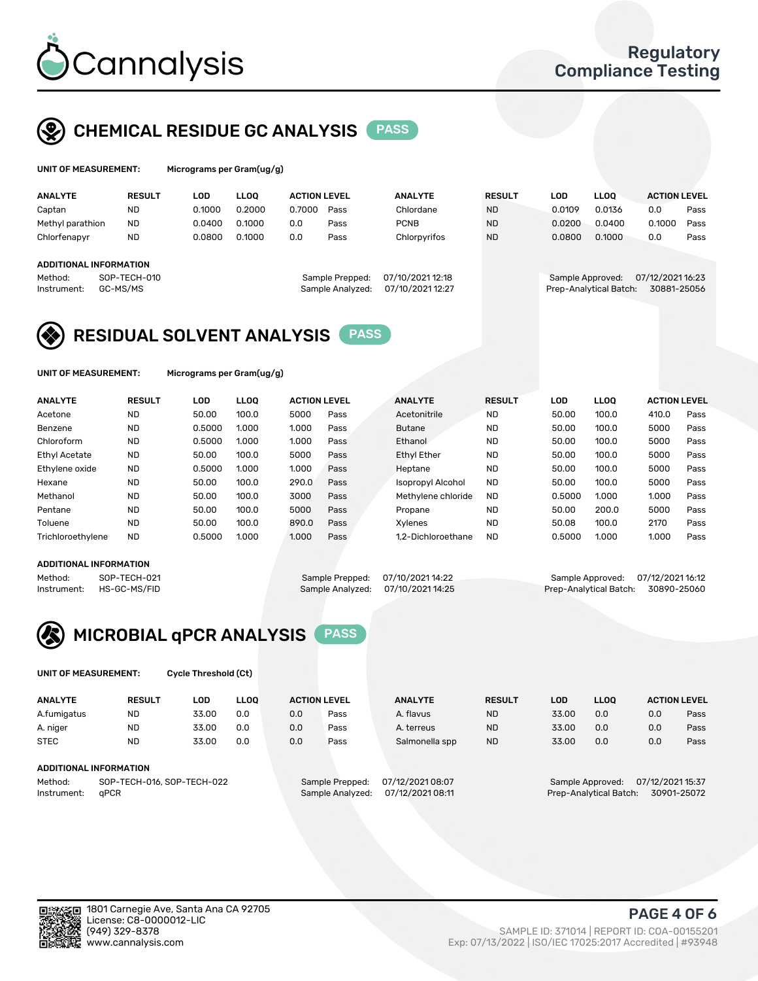

# CHEMICAL RESIDUE GC ANALYSIS PASS

| UNIT OF MEASUREMENT: | Microgra |
|----------------------|----------|
|                      |          |

ms per Gram(ug/g)

| <b>ANALYTE</b>                | <b>RESULT</b> | LOD    | <b>LLOO</b> | <b>ACTION LEVEL</b> |                  | <b>ANALYTE</b>   | <b>RESULT</b> | LOD              | <b>LLOO</b>            | <b>ACTION LEVEL</b> |      |
|-------------------------------|---------------|--------|-------------|---------------------|------------------|------------------|---------------|------------------|------------------------|---------------------|------|
| Captan                        | <b>ND</b>     | 0.1000 | 0.2000      | 0.7000              | Pass             | Chlordane        | <b>ND</b>     | 0.0109           | 0.0136                 | 0.0                 | Pass |
| Methyl parathion              | <b>ND</b>     | 0.0400 | 0.1000      | 0.0                 | Pass             | <b>PCNB</b>      | <b>ND</b>     | 0.0200           | 0.0400                 | 0.1000              | Pass |
| Chlorfenapyr                  | <b>ND</b>     | 0.0800 | 0.1000      | 0.0                 | Pass             | Chlorpyrifos     | <b>ND</b>     | 0.0800           | 0.1000                 | 0.0                 | Pass |
|                               |               |        |             |                     |                  |                  |               |                  |                        |                     |      |
| <b>ADDITIONAL INFORMATION</b> |               |        |             |                     |                  |                  |               |                  |                        |                     |      |
| Method:                       | SOP-TECH-010  |        |             |                     | Sample Prepped:  | 07/10/2021 12:18 |               | Sample Approved: |                        | 07/12/2021 16:23    |      |
| Instrument:                   | GC-MS/MS      |        |             |                     | Sample Analyzed: | 07/10/2021 12:27 |               |                  | Prep-Analytical Batch: | 30881-25056         |      |
|                               |               |        |             |                     |                  |                  |               |                  |                        |                     |      |

## RESIDUAL SOLVENT ANALYSIS PASS

UNIT OF MEASUREMENT: Micrograms per Gram(ug/g)

| <b>ANALYTE</b>    | <b>RESULT</b> | LOD    | <b>LLOO</b> | <b>ACTION LEVEL</b> |      | <b>ANALYTE</b>           | <b>RESULT</b> | LOD    | LLOO  | <b>ACTION LEVEL</b> |      |
|-------------------|---------------|--------|-------------|---------------------|------|--------------------------|---------------|--------|-------|---------------------|------|
| Acetone           | <b>ND</b>     | 50.00  | 100.0       | 5000                | Pass | Acetonitrile             | <b>ND</b>     | 50.00  | 100.0 | 410.0               | Pass |
| Benzene           | <b>ND</b>     | 0.5000 | 1.000       | 1.000               | Pass | <b>Butane</b>            | <b>ND</b>     | 50.00  | 100.0 | 5000                | Pass |
| Chloroform        | <b>ND</b>     | 0.5000 | 1.000       | 1.000               | Pass | Ethanol                  | <b>ND</b>     | 50.00  | 100.0 | 5000                | Pass |
| Ethyl Acetate     | <b>ND</b>     | 50.00  | 100.0       | 5000                | Pass | <b>Ethyl Ether</b>       | <b>ND</b>     | 50.00  | 100.0 | 5000                | Pass |
| Ethylene oxide    | <b>ND</b>     | 0.5000 | 1.000       | 1.000               | Pass | Heptane                  | <b>ND</b>     | 50.00  | 100.0 | 5000                | Pass |
| Hexane            | <b>ND</b>     | 50.00  | 100.0       | 290.0               | Pass | <b>Isopropyl Alcohol</b> | <b>ND</b>     | 50.00  | 100.0 | 5000                | Pass |
| Methanol          | <b>ND</b>     | 50.00  | 100.0       | 3000                | Pass | Methylene chloride       | <b>ND</b>     | 0.5000 | 1.000 | 1.000               | Pass |
| Pentane           | <b>ND</b>     | 50.00  | 100.0       | 5000                | Pass | Propane                  | <b>ND</b>     | 50.00  | 200.0 | 5000                | Pass |
| Toluene           | <b>ND</b>     | 50.00  | 100.0       | 890.0               | Pass | Xvlenes                  | <b>ND</b>     | 50.08  | 100.0 | 2170                | Pass |
| Trichloroethylene | <b>ND</b>     | 0.5000 | 1.000       | 1.000               | Pass | 1.2-Dichloroethane       | <b>ND</b>     | 0.5000 | 1.000 | 1.000               | Pass |

#### ADDITIONAL INFORMATION

Method: SOP-TECH-021 Sample Prepped: 07/10/2021 14:22 Sample Approved: 07/12/2021 16:12<br>Instrument: HS-GC-MS/FID Sample Analyzed: 07/10/2021 14:25 Prep-Analytical Batch: 30890-25060

Prep-Analytical Batch: 30890-25060

# MICROBIAL qPCR ANALYSIS PASS

UNIT OF MEASUREMENT: Cycle Threshold (Ct)

| <b>ANALYTE</b> | <b>RESULT</b>              | LOD   | <b>LLOO</b> | <b>ACTION LEVEL</b> |                 | <b>ANALYTE</b>   | <b>RESULT</b> | LOD   | <b>LLOO</b>      |                  | <b>ACTION LEVEL</b> |
|----------------|----------------------------|-------|-------------|---------------------|-----------------|------------------|---------------|-------|------------------|------------------|---------------------|
| A.fumigatus    | <b>ND</b>                  | 33.00 | 0.0         | 0.0                 | Pass            | A. flavus        | <b>ND</b>     | 33.00 | 0.0              | 0.0              | Pass                |
| A. niger       | <b>ND</b>                  | 33.00 | 0.0         | 0.0                 | Pass            | A. terreus       | <b>ND</b>     | 33.00 | 0.0              | 0.0              | Pass                |
| <b>STEC</b>    | <b>ND</b>                  | 33.00 | 0.0         | 0.0                 | Pass            | Salmonella spp   | <b>ND</b>     | 33.00 | 0.0              | 0.0              | Pass                |
|                | ADDITIONAL INFORMATION     |       |             |                     |                 |                  |               |       |                  |                  |                     |
| Method:        | SOP-TECH-016, SOP-TECH-022 |       |             |                     | Sample Prepped: | 07/12/2021 08:07 |               |       | Sample Approved: | 07/12/2021 15:37 |                     |

Instrument: qPCR Sample Analyzed: 07/12/2021 08:11 Prep-Analytical Batch: 30901-25072

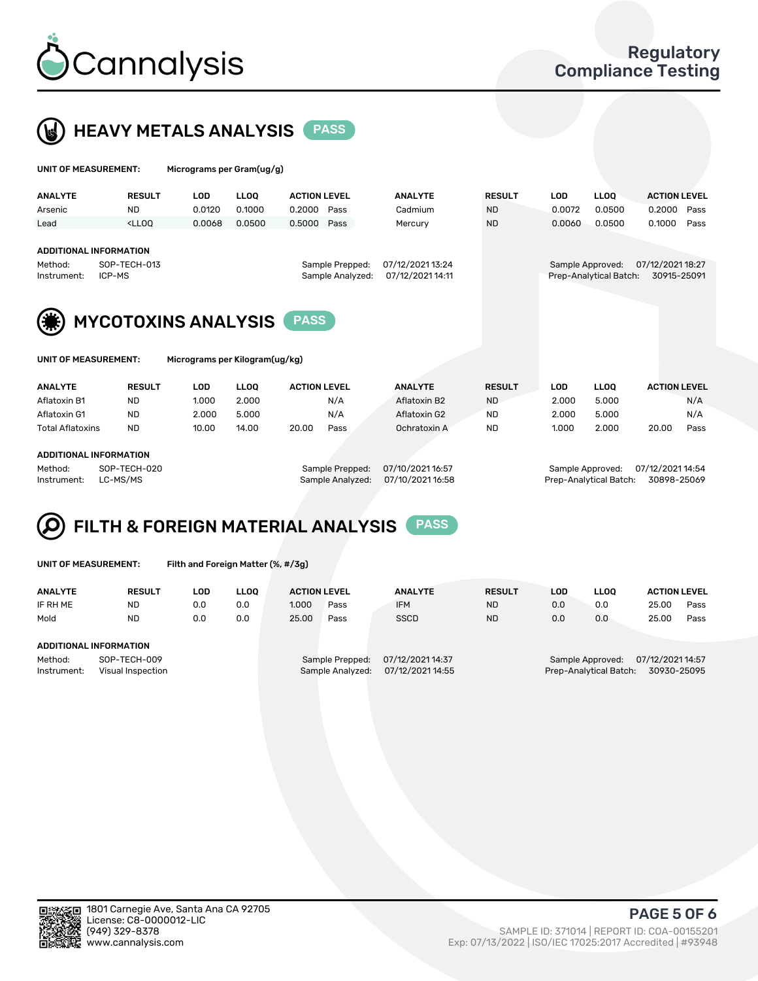



| UNIT OF MEASUREMENT:                                              |                                                                                                                                                                             | Micrograms per Gram(ug/g)      |             |                     |                                     |                                      |               |            |                                            |                                 |      |
|-------------------------------------------------------------------|-----------------------------------------------------------------------------------------------------------------------------------------------------------------------------|--------------------------------|-------------|---------------------|-------------------------------------|--------------------------------------|---------------|------------|--------------------------------------------|---------------------------------|------|
| <b>ANALYTE</b>                                                    | <b>RESULT</b>                                                                                                                                                               | <b>LOD</b>                     | <b>LLOQ</b> | <b>ACTION LEVEL</b> |                                     | <b>ANALYTE</b>                       | <b>RESULT</b> | <b>LOD</b> | <b>LLOQ</b>                                | <b>ACTION LEVEL</b>             |      |
| Arsenic                                                           | ND.                                                                                                                                                                         | 0.0120                         | 0.1000      | 0.2000              | Pass                                | Cadmium                              | <b>ND</b>     | 0.0072     | 0.0500                                     | 0.2000                          | Pass |
| Lead                                                              | <lloo< td=""><td>0.0068</td><td>0.0500</td><td>0.5000</td><td>Pass</td><td>Mercury</td><td><b>ND</b></td><td>0.0060</td><td>0.0500</td><td>0.1000</td><td>Pass</td></lloo<> | 0.0068                         | 0.0500      | 0.5000              | Pass                                | Mercury                              | <b>ND</b>     | 0.0060     | 0.0500                                     | 0.1000                          | Pass |
| <b>ADDITIONAL INFORMATION</b><br>Method:<br>ICP-MS<br>Instrument: | SOP-TECH-013                                                                                                                                                                |                                |             |                     | Sample Prepped:<br>Sample Analyzed: | 07/12/2021 13:24<br>07/12/2021 14:11 |               |            | Sample Approved:<br>Prep-Analytical Batch: | 07/12/2021 18:27<br>30915-25091 |      |
|                                                                   |                                                                                                                                                                             |                                |             |                     |                                     |                                      |               |            |                                            |                                 |      |
|                                                                   |                                                                                                                                                                             | <b>MYCOTOXINS ANALYSIS</b>     |             | <b>PASS</b>         |                                     |                                      |               |            |                                            |                                 |      |
| <b>UNIT OF MEASUREMENT:</b>                                       |                                                                                                                                                                             | Micrograms per Kilogram(ug/kg) |             |                     |                                     |                                      |               |            |                                            |                                 |      |
| <b>ANALYTE</b>                                                    | <b>RESULT</b>                                                                                                                                                               | LOD                            | <b>LLOQ</b> | <b>ACTION LEVEL</b> |                                     | <b>ANALYTE</b>                       | <b>RESULT</b> | <b>LOD</b> | <b>LLOQ</b>                                | <b>ACTION LEVEL</b>             |      |
| Aflatoxin B1                                                      | <b>ND</b>                                                                                                                                                                   | 1.000                          | 2.000       |                     | N/A                                 | Aflatoxin B2                         | <b>ND</b>     | 2.000      | 5.000                                      |                                 | N/A  |
| Aflatoxin G1                                                      | <b>ND</b>                                                                                                                                                                   | 2.000                          | 5.000       |                     | N/A                                 | Aflatoxin G2                         | <b>ND</b>     | 2.000      | 5.000                                      |                                 | N/A  |
| Total Aflatoxins                                                  | <b>ND</b>                                                                                                                                                                   | 10.00                          | 14.00       | 20.00               | Pass                                | Ochratoxin A                         | <b>ND</b>     | 1.000      | 2.000                                      | 20.00                           | Pass |

#### ADDITIONAL INFORMATION

Method: SOP-TECH-020 Sample Prepped: 07/10/2021 16:57 Sample Approved: 07/12/2021 14:54 Instrument: LC-MS/MS Sample Analyzed: 07/10/2021 16:58 Prep-Analytical Batch: 30898-25069

# FILTH & FOREIGN MATERIAL ANALYSIS PASS

UNIT OF MEASUREMENT: Filth and Foreign Matter (%, #/3g)

| <b>ANALYTE</b>                                              | <b>RESULT</b> | LOD | <b>LLOO</b> | <b>ACTION LEVEL</b> |                                     | <b>ANALYTE</b>                       | <b>RESULT</b> | LOD | <b>LLOO</b> | <b>ACTION LEVEL</b>                                                           |      |  |  |
|-------------------------------------------------------------|---------------|-----|-------------|---------------------|-------------------------------------|--------------------------------------|---------------|-----|-------------|-------------------------------------------------------------------------------|------|--|--|
| IF RH ME                                                    | <b>ND</b>     | 0.0 | 0.0         | 1.000               | Pass                                | <b>IFM</b>                           | <b>ND</b>     | 0.0 | 0.0         | 25.00                                                                         | Pass |  |  |
| Mold                                                        | <b>ND</b>     | 0.0 | 0.0         | 25.00               | Pass                                | <b>SSCD</b>                          | <b>ND</b>     | 0.0 | 0.0         | 25.00                                                                         | Pass |  |  |
| ADDITIONAL INFORMATION                                      |               |     |             |                     |                                     |                                      |               |     |             |                                                                               |      |  |  |
| Method:<br>SOP-TECH-009<br>Instrument:<br>Visual Inspection |               |     |             |                     | Sample Prepped:<br>Sample Analyzed: | 07/12/2021 14:37<br>07/12/2021 14:55 |               |     |             | 07/12/2021 14:57<br>Sample Approved:<br>Prep-Analytical Batch:<br>30930-25095 |      |  |  |



PAGE 5 OF 6